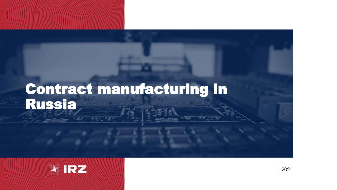## Contract manufacturing in Russia

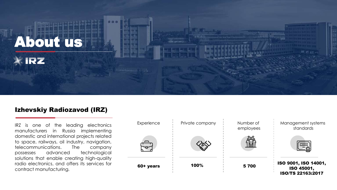

#### Izhevskiy Radiozavod (IRZ)

IRZ is one of the leading electronics manufacturers in Russia implementing domestic and international projects related to space, railways, oil industry, navigation, telecommunications. The company possesses advanced technological solutions that enable creating high-quality radio electronics, and offers its services for contract manufacturing.

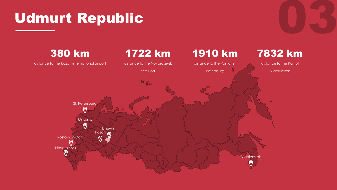## Udmurt Republic

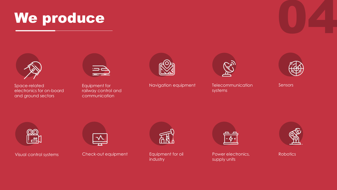



Space-related electronics for on-board and ground sectors



Equipment for railway control and communication



Navigation equipment Telecommunication



systems



**Sensors** 



Visual control systems



Check-out equipment equipment for oil Power electronics, Robotics



Equipment for oil industry



supply units

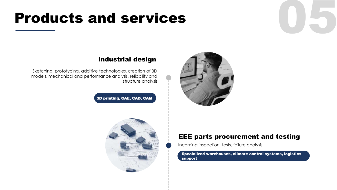## **Products and services**



#### Industrial design

Sketching, prototyping, additive technologies, creation of 3D models, mechanical and performance analysis, reliability and structure analysis

3D printing, CAE, CAD, CAM



#### EEE parts procurement and testing

Incoming inspection, tests, failure analysis

Specialized warehouses, climate control systems, logistics support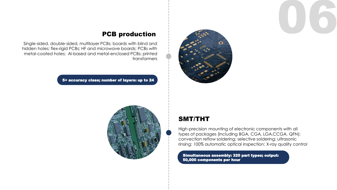



#### PCB production

Single-sided, double-sided, multilayer PCBs; boards with blind and hidden holes; flex-rigid PCBs; HF and microwave boards; PCBs with metal-coated holes; Al-based and metal-enclosed PCBs; printed transformers

5+ accuracy class; number of layers: up to 24



#### SMT/THT

High-precision mounting of electronic components with all types of packages (including BGA, CGA, LGA,CCGA, QFN); convection reflow soldering; selective soldering; ultrasonic rinsing; 100% automatic optical inspection; X-ray quality control

Simultaneous assembly: 320 part types; output: 50,000 components per hour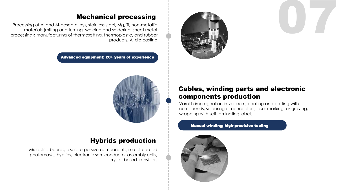

#### Mechanical processing

Processing of Al and Al-based alloys, stainless steel, Mg, Ti, non-metallic materials (milling and turning, welding and soldering, sheet metal processing); manufacturing of thermosetting, thermoplastic, and rubber products; Al die casting

Advanced equipment; 20+ years of experience



#### Hybrids production

Microstrip boards, discrete passive components, metal-coated photomasks, hybrids, electronic semiconductor assembly units, crystal-based transistors

#### Cables, winding parts and electronic components production

07

Varnish impregnation in vacuum; coating and potting with compounds; soldering of connectors; laser marking, engraving, wrapping with self-laminating labels

#### Manual winding; high-precision tooling

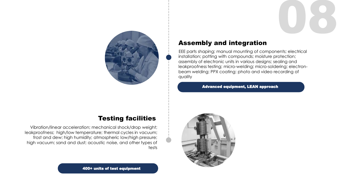

#### Assembly and integration

EEE parts shaping; manual mounting of components; electrical installation; potting with compounds; moisture protection; assembly of electronic units in various designs; sealing and leakproofness testing; micro-welding; micro-soldering; electronbeam welding; PPX coating; photo and video recording of quality

08

Advanced equipment, LEAN approach



#### Testing facilities

Vibration/linear acceleration; mechanical shock/drop weight; leakproofness; high/low temperature; thermal cycles in vacuum; frost and dew; high humidity; atmospheric low/high pressure; high vacuum; sand and dust; acoustic noise, and other types of tests

400+ units of test equipment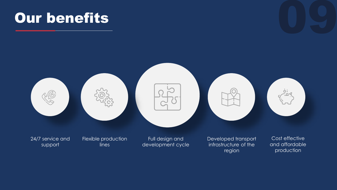# Our benefits and the contract of the contract of the contract of the contract of the contract of the contract o<br>Alternative contract of the contract of the contract of the contract of the contract of the contract of the co

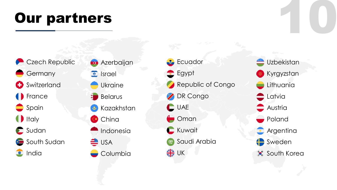# Our partners 10



- **D** Azerbaijan
- $\bullet$  Israel
	- Ukraine
- **Belarus**
- **&** Kazakhstan
- **China** 
	- Indonesia
- **EXECUTE** 
	- Columbia



**Uzbekistan** Kyrgyzstan Lithuania Latvia **Austria** Poland **Argentina** Sweden **South Korea**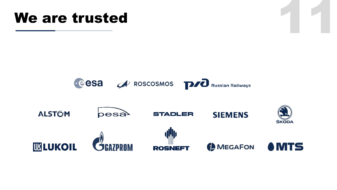## We are trusted

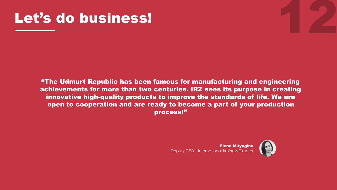## Let's do business!

"The Udmurt Republic has been famous for manufacturing and engineering achievements for more than two centuries. IRZ sees its purpose in creating innovative high-quality products to improve the standards of life. We are open to cooperation and are ready to become a part of your production process!"